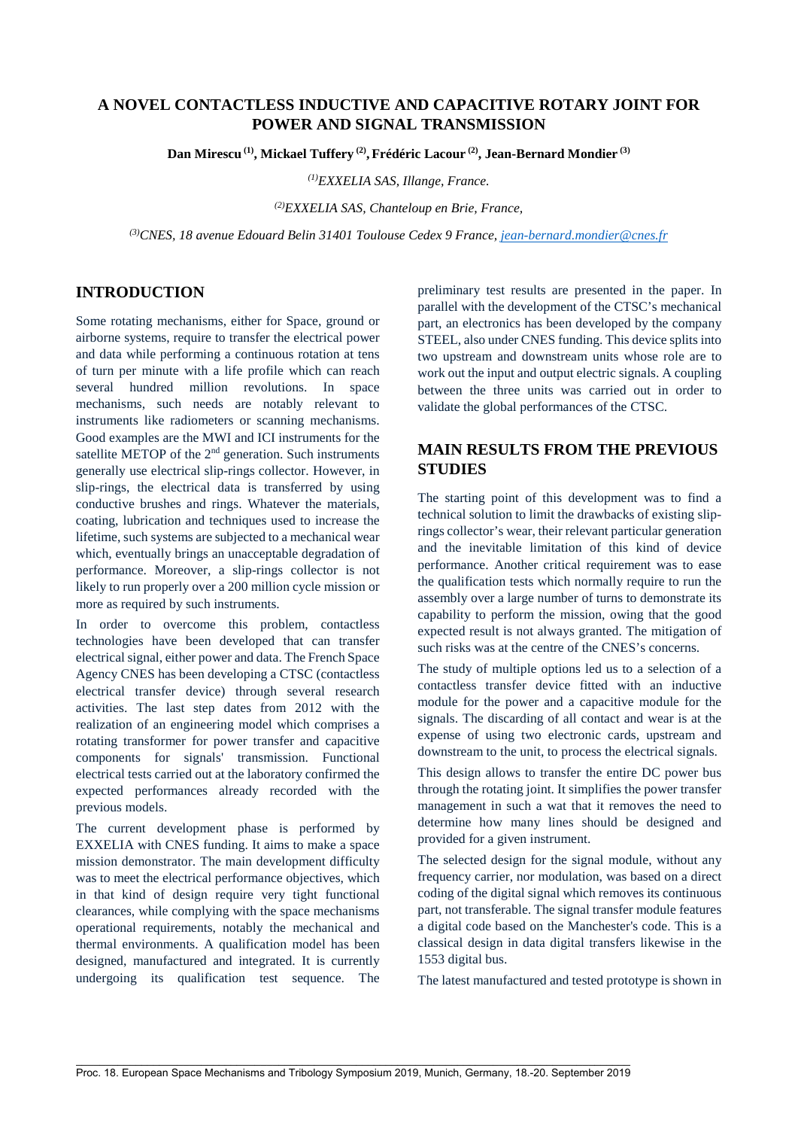# **A NOVEL CONTACTLESS INDUCTIVE AND CAPACITIVE ROTARY JOINT FOR POWER AND SIGNAL TRANSMISSION**

**Dan Mirescu (1), Mickael Tuffery (2), Frédéric Lacour (2), Jean-Bernard Mondier (3)** 

*(1)EXXELIA SAS, Illange, France.*

*(2)EXXELIA SAS, Chanteloup en Brie, France,*

*(3)CNES, 18 avenue Edouard Belin 31401 Toulouse Cedex 9 France, [jean-bernard.mondier@cnes.fr](mailto:jean-bernard.mondier@cnes.fr)*

## **INTRODUCTION**

Some rotating mechanisms, either for Space, ground or airborne systems, require to transfer the electrical power and data while performing a continuous rotation at tens of turn per minute with a life profile which can reach several hundred million revolutions. In space mechanisms, such needs are notably relevant to instruments like radiometers or scanning mechanisms. Good examples are the MWI and ICI instruments for the satellite METOP of the 2<sup>nd</sup> generation. Such instruments generally use electrical slip-rings collector. However, in slip-rings, the electrical data is transferred by using conductive brushes and rings. Whatever the materials, coating, lubrication and techniques used to increase the lifetime, such systems are subjected to a mechanical wear which, eventually brings an unacceptable degradation of performance. Moreover, a slip-rings collector is not likely to run properly over a 200 million cycle mission or more as required by such instruments.

In order to overcome this problem, contactless technologies have been developed that can transfer electrical signal, either power and data. The French Space Agency CNES has been developing a CTSC (contactless electrical transfer device) through several research activities. The last step dates from 2012 with the realization of an engineering model which comprises a rotating transformer for power transfer and capacitive components for signals' transmission. Functional electrical tests carried out at the laboratory confirmed the expected performances already recorded with the previous models.

The current development phase is performed by EXXELIA with CNES funding. It aims to make a space mission demonstrator. The main development difficulty was to meet the electrical performance objectives, which in that kind of design require very tight functional clearances, while complying with the space mechanisms operational requirements, notably the mechanical and thermal environments. A qualification model has been designed, manufactured and integrated. It is currently undergoing its qualification test sequence. The preliminary test results are presented in the paper. In parallel with the development of the CTSC's mechanical part, an electronics has been developed by the company STEEL, also under CNES funding. This device splits into two upstream and downstream units whose role are to work out the input and output electric signals. A coupling between the three units was carried out in order to validate the global performances of the CTSC.

# **MAIN RESULTS FROM THE PREVIOUS STUDIES**

The starting point of this development was to find a technical solution to limit the drawbacks of existing sliprings collector's wear, their relevant particular generation and the inevitable limitation of this kind of device performance. Another critical requirement was to ease the qualification tests which normally require to run the assembly over a large number of turns to demonstrate its capability to perform the mission, owing that the good expected result is not always granted. The mitigation of such risks was at the centre of the CNES's concerns.

The study of multiple options led us to a selection of a contactless transfer device fitted with an inductive module for the power and a capacitive module for the signals. The discarding of all contact and wear is at the expense of using two electronic cards, upstream and downstream to the unit, to process the electrical signals.

This design allows to transfer the entire DC power bus through the rotating joint. It simplifies the power transfer management in such a wat that it removes the need to determine how many lines should be designed and provided for a given instrument.

The selected design for the signal module, without any frequency carrier, nor modulation, was based on a direct coding of the digital signal which removes its continuous part, not transferable. The signal transfer module features a digital code based on the Manchester's code. This is a classical design in data digital transfers likewise in the 1553 digital bus.

The latest manufactured and tested prototype is shown in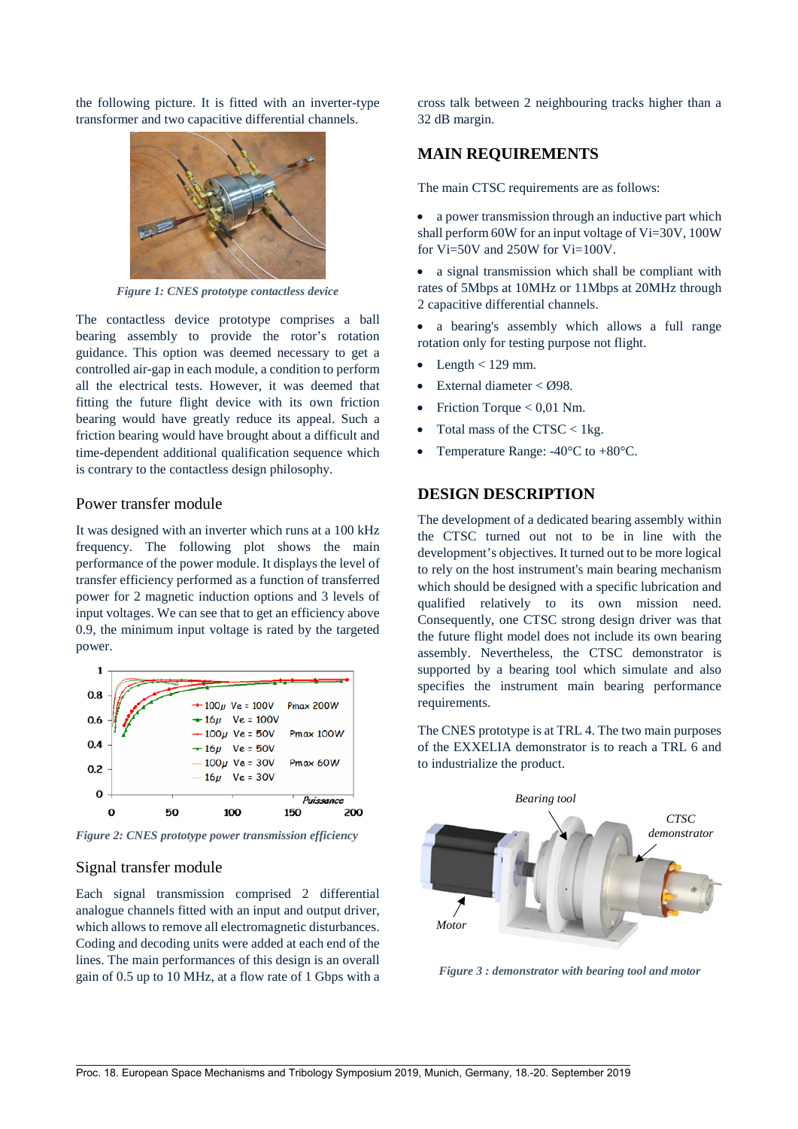the following picture. It is fitted with an inverter-type transformer and two capacitive differential channels.



*Figure 1: CNES prototype contactless device*

The contactless device prototype comprises a ball bearing assembly to provide the rotor's rotation guidance. This option was deemed necessary to get a controlled air-gap in each module, a condition to perform all the electrical tests. However, it was deemed that fitting the future flight device with its own friction bearing would have greatly reduce its appeal. Such a friction bearing would have brought about a difficult and time-dependent additional qualification sequence which is contrary to the contactless design philosophy.

#### Power transfer module

It was designed with an inverter which runs at a 100 kHz frequency. The following plot shows the main performance of the power module. It displays the level of transfer efficiency performed as a function of transferred power for 2 magnetic induction options and 3 levels of input voltages. We can see that to get an efficiency above 0.9, the minimum input voltage is rated by the targeted power.



*Figure 2: CNES prototype power transmission efficiency*

#### Signal transfer module

Each signal transmission comprised 2 differential analogue channels fitted with an input and output driver, which allows to remove all electromagnetic disturbances. Coding and decoding units were added at each end of the lines. The main performances of this design is an overall gain of 0.5 up to 10 MHz, at a flow rate of 1 Gbps with a cross talk between 2 neighbouring tracks higher than a 32 dB margin.

### **MAIN REQUIREMENTS**

The main CTSC requirements are as follows:

• a power transmission through an inductive part which shall perform 60W for an input voltage of Vi=30V, 100W for Vi=50V and 250W for Vi=100V.

• a signal transmission which shall be compliant with rates of 5Mbps at 10MHz or 11Mbps at 20MHz through 2 capacitive differential channels.

a bearing's assembly which allows a full range rotation only for testing purpose not flight.

- Length  $< 129$  mm.
- External diameter < Ø98.
- Friction Torque  $< 0.01$  Nm.
- Total mass of the CTSC  $<$  1 kg.
- Temperature Range:  $-40^{\circ}$ C to  $+80^{\circ}$ C.

## **DESIGN DESCRIPTION**

The development of a dedicated bearing assembly within the CTSC turned out not to be in line with the development's objectives. It turned out to be more logical to rely on the host instrument's main bearing mechanism which should be designed with a specific lubrication and qualified relatively to its own mission need. Consequently, one CTSC strong design driver was that the future flight model does not include its own bearing assembly. Nevertheless, the CTSC demonstrator is supported by a bearing tool which simulate and also specifies the instrument main bearing performance requirements.

The CNES prototype is at TRL 4. The two main purposes of the EXXELIA demonstrator is to reach a TRL 6 and to industrialize the product.



*Figure 3 : demonstrator with bearing tool and motor*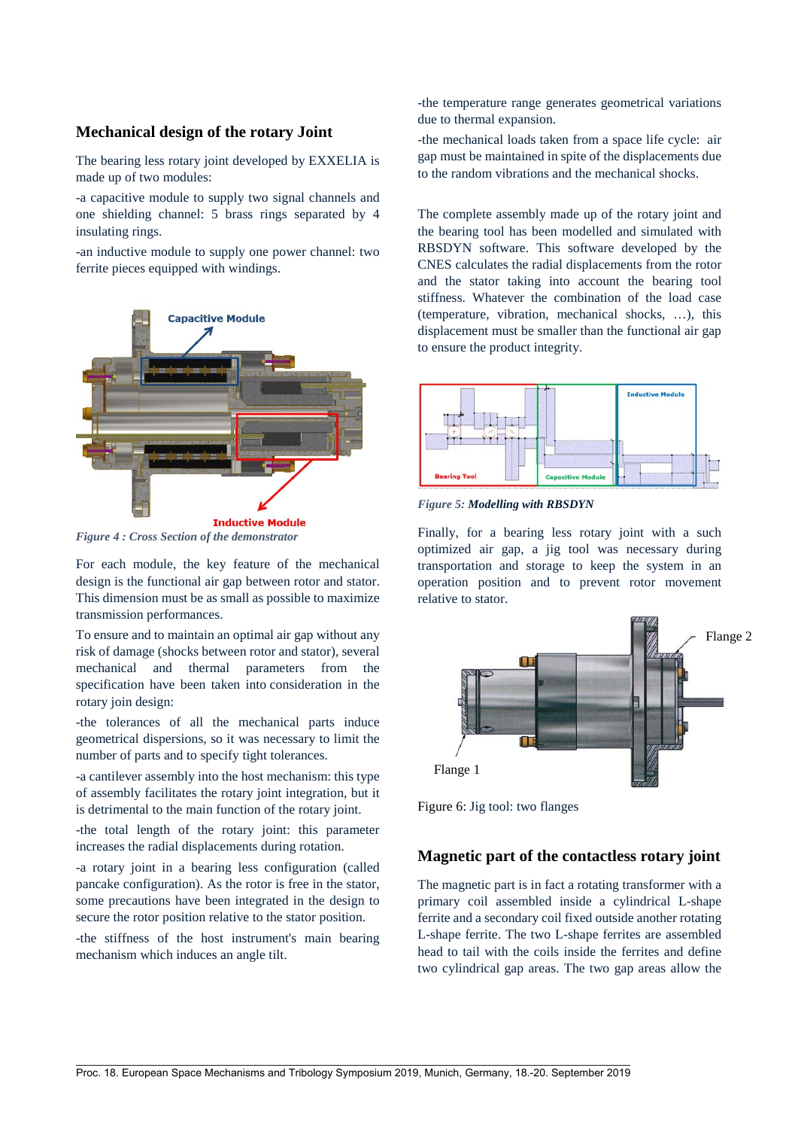## **Mechanical design of the rotary Joint**

The bearing less rotary joint developed by EXXELIA is made up of two modules:

-a capacitive module to supply two signal channels and one shielding channel: 5 brass rings separated by 4 insulating rings.

-an inductive module to supply one power channel: two ferrite pieces equipped with windings.



*Figure 4 : Cross Section of the demonstrator*

For each module, the key feature of the mechanical design is the functional air gap between rotor and stator. This dimension must be as small as possible to maximize transmission performances.

To ensure and to maintain an optimal air gap without any risk of damage (shocks between rotor and stator), several mechanical and thermal parameters from the specification have been taken into consideration in the rotary join design:

-the tolerances of all the mechanical parts induce geometrical dispersions, so it was necessary to limit the number of parts and to specify tight tolerances.

-a cantilever assembly into the host mechanism: this type of assembly facilitates the rotary joint integration, but it is detrimental to the main function of the rotary joint.

-the total length of the rotary joint: this parameter increases the radial displacements during rotation.

-a rotary joint in a bearing less configuration (called pancake configuration). As the rotor is free in the stator, some precautions have been integrated in the design to secure the rotor position relative to the stator position.

-the stiffness of the host instrument's main bearing mechanism which induces an angle tilt.

-the temperature range generates geometrical variations due to thermal expansion.

-the mechanical loads taken from a space life cycle: air gap must be maintained in spite of the displacements due to the random vibrations and the mechanical shocks.

The complete assembly made up of the rotary joint and the bearing tool has been modelled and simulated with RBSDYN software. This software developed by the CNES calculates the radial displacements from the rotor and the stator taking into account the bearing tool stiffness. Whatever the combination of the load case (temperature, vibration, mechanical shocks, …), this displacement must be smaller than the functional air gap to ensure the product integrity.



*Figure 5: Modelling with RBSDYN* 

Finally, for a bearing less rotary joint with a such optimized air gap, a jig tool was necessary during transportation and storage to keep the system in an operation position and to prevent rotor movement relative to stator.



Figure 6: Jig tool: two flanges

## **Magnetic part of the contactless rotary joint**

The magnetic part is in fact a rotating transformer with a primary coil assembled inside a cylindrical L-shape ferrite and a secondary coil fixed outside another rotating L-shape ferrite. The two L-shape ferrites are assembled head to tail with the coils inside the ferrites and define two cylindrical gap areas. The two gap areas allow the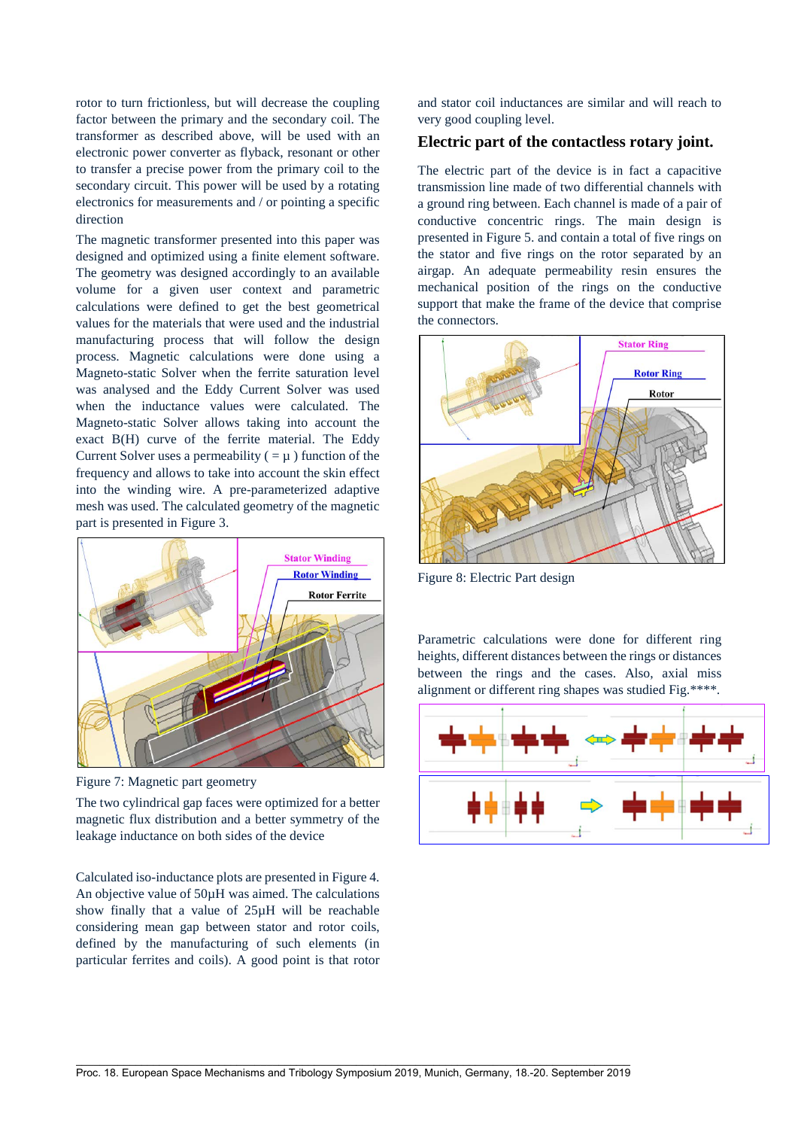rotor to turn frictionless, but will decrease the coupling factor between the primary and the secondary coil. The transformer as described above, will be used with an electronic power converter as flyback, resonant or other to transfer a precise power from the primary coil to the secondary circuit. This power will be used by a rotating electronics for measurements and / or pointing a specific direction

The magnetic transformer presented into this paper was designed and optimized using a finite element software. The geometry was designed accordingly to an available volume for a given user context and parametric calculations were defined to get the best geometrical values for the materials that were used and the industrial manufacturing process that will follow the design process. Magnetic calculations were done using a Magneto-static Solver when the ferrite saturation level was analysed and the Eddy Current Solver was used when the inductance values were calculated. The Magneto-static Solver allows taking into account the exact B(H) curve of the ferrite material. The Eddy Current Solver uses a permeability  $( = \mu )$  function of the frequency and allows to take into account the skin effect into the winding wire. A pre-parameterized adaptive mesh was used. The calculated geometry of the magnetic part is presented in [Figure 3.](#page-3-0)



<span id="page-3-0"></span>Figure 7: Magnetic part geometry

The two cylindrical gap faces were optimized for a better magnetic flux distribution and a better symmetry of the leakage inductance on both sides of the device

Calculated iso-inductance plots are presented in Figure 4. An objective value of 50µH was aimed. The calculations show finally that a value of 25µH will be reachable considering mean gap between stator and rotor coils, defined by the manufacturing of such elements (in particular ferrites and coils). A good point is that rotor and stator coil inductances are similar and will reach to very good coupling level.

## **Electric part of the contactless rotary joint.**

The electric part of the device is in fact a capacitive transmission line made of two differential channels with a ground ring between. Each channel is made of a pair of conductive concentric rings. The main design is presented in [Figure 5.](#page-3-1) and contain a total of five rings on the stator and five rings on the rotor separated by an airgap. An adequate permeability resin ensures the mechanical position of the rings on the conductive support that make the frame of the device that comprise the connectors.



Figure 8: Electric Part design

<span id="page-3-1"></span>Parametric calculations were done for different ring heights, different distances between the rings or distances between the rings and the cases. Also, axial miss alignment or different ring shapes was studied Fig.\*\*\*\*.